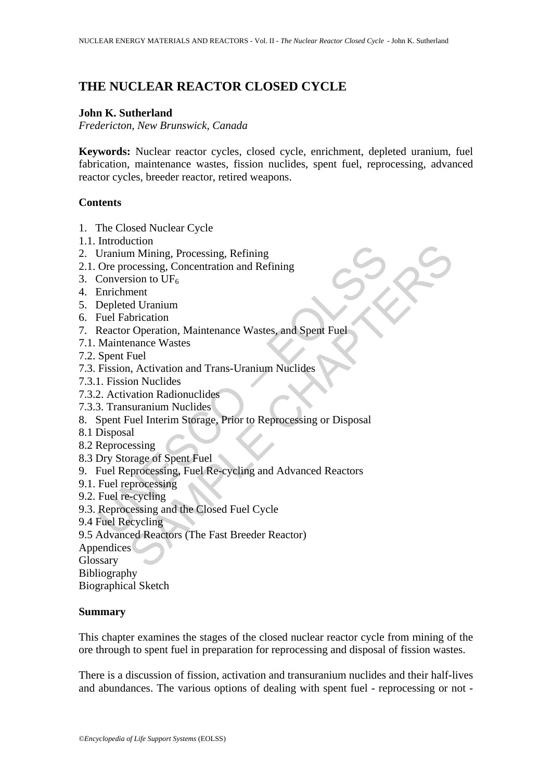# **THE NUCLEAR REACTOR CLOSED CYCLE**

#### **John K. Sutherland**

*Fredericton, New Brunswick, Canada* 

**Keywords:** Nuclear reactor cycles, closed cycle, enrichment, depleted uranium, fuel fabrication, maintenance wastes, fission nuclides, spent fuel, reprocessing, advanced reactor cycles, breeder reactor, retired weapons.

## **Contents**

- 1. The Closed Nuclear Cycle
- 1.1. Introduction
- 2. Uranium Mining, Processing, Refining
- 2.1. Ore processing, Concentration and Refining
- 3. Conversion to  $UF_6$
- 4. Enrichment
- 5. Depleted Uranium
- 6. Fuel Fabrication
- 7. Reactor Operation, Maintenance Wastes, and Spent Fuel
- 7.1. Maintenance Wastes
- 7.2. Spent Fuel
- 7.3. Fission, Activation and Trans-Uranium Nuclides
- 7.3.1. Fission Nuclides
- 7.3.2. Activation Radionuclides
- 7.3.3. Transuranium Nuclides
- Incoluction<br>
Uranium Mining, Processing, Refining<br>
Ore processing, Concentration and Refining<br>
Conversion to UF<sub>6</sub><br>
Enrichment<br>
Fuel Fabrication<br>
Fuel Fabrication<br>
Reactor Operation, Maintenance Wastes, and Spent Fuel<br>
Mai Extron<br>
an Mining, Processing, Refining<br>
ment<br>
ment<br>
ment<br>
and Uranium<br>
and Uranium<br>
abrication<br>
concernation, Maintenance Wastes, and Spent Fuel<br>
Fuel<br>
Fuel<br>
Fuel<br>
Fuel<br>
Fuel<br>
mentance Wastes, and Spent Fuel<br>
Fuel<br>
Fuel<br> 8. Spent Fuel Interim Storage, Prior to Reprocessing or Disposal
- 8.1 Disposal
- 8.2 Reprocessing
- 8.3 Dry Storage of Spent Fuel
- 9. Fuel Reprocessing, Fuel Re-cycling and Advanced Reactors
- 9.1. Fuel reprocessing
- 9.2. Fuel re-cycling
- 9.3. Reprocessing and the Closed Fuel Cycle
- 9.4 Fuel Recycling
- 9.5 Advanced Reactors (The Fast Breeder Reactor)

Appendices

Glossary

Bibliography

Biographical Sketch

#### **Summary**

This chapter examines the stages of the closed nuclear reactor cycle from mining of the ore through to spent fuel in preparation for reprocessing and disposal of fission wastes.

There is a discussion of fission, activation and transuranium nuclides and their half-lives and abundances. The various options of dealing with spent fuel - reprocessing or not -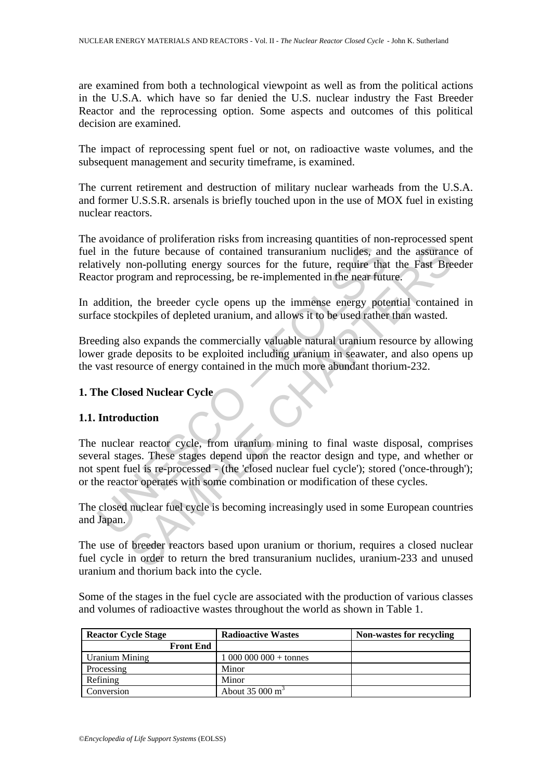are examined from both a technological viewpoint as well as from the political actions in the U.S.A. which have so far denied the U.S. nuclear industry the Fast Breeder Reactor and the reprocessing option. Some aspects and outcomes of this political decision are examined.

The impact of reprocessing spent fuel or not, on radioactive waste volumes, and the subsequent management and security timeframe, is examined.

The current retirement and destruction of military nuclear warheads from the U.S.A. and former U.S.S.R. arsenals is briefly touched upon in the use of MOX fuel in existing nuclear reactors.

The avoidance of proliferation risks from increasing quantities of non-reprocessed spent fuel in the future because of contained transuranium nuclides, and the assurance of relatively non-polluting energy sources for the future, require that the Fast Breeder Reactor program and reprocessing, be re-implemented in the near future.

In addition, the breeder cycle opens up the immense energy potential contained in surface stockpiles of depleted uranium, and allows it to be used rather than wasted.

Breeding also expands the commercially valuable natural uranium resource by allowing lower grade deposits to be exploited including uranium in seawater, and also opens up the vast resource of energy contained in the much more abundant thorium-232.

#### **1. The Closed Nuclear Cycle**

#### **1.1. Introduction**

in the future because of contained transuranium nuclides, and<br>tively non-polluting energy sources for the future, require that<br>cor program and reprocessing, be re-implemented in the near fut<br>ddition, the breeder cycle open The breadstand transuranium muclides, and the assurance future because of contained transuranium nuclides, and the assurance con-polluting energy sources for the future, require that the Fast Bready param and reprocessing, The nuclear reactor cycle, from uranium mining to final waste disposal, comprises several stages. These stages depend upon the reactor design and type, and whether or not spent fuel is re-processed - (the 'closed nuclear fuel cycle'); stored ('once-through'); or the reactor operates with some combination or modification of these cycles.

The closed nuclear fuel cycle is becoming increasingly used in some European countries and Japan.

The use of breeder reactors based upon uranium or thorium, requires a closed nuclear fuel cycle in order to return the bred transuranium nuclides, uranium-233 and unused uranium and thorium back into the cycle.

Some of the stages in the fuel cycle are associated with the production of various classes and volumes of radioactive wastes throughout the world as shown in Table 1.

| <b>Reactor Cycle Stage</b> | <b>Radioactive Wastes</b>   | <b>Non-wastes for recycling</b> |
|----------------------------|-----------------------------|---------------------------------|
| <b>Front End</b>           |                             |                                 |
| <b>Uranium Mining</b>      | $100000000 + \text{tonnes}$ |                                 |
| Processing                 | Minor                       |                                 |
| Refining                   | Minor                       |                                 |
| Conversion                 | About $35000 \text{ m}^3$   |                                 |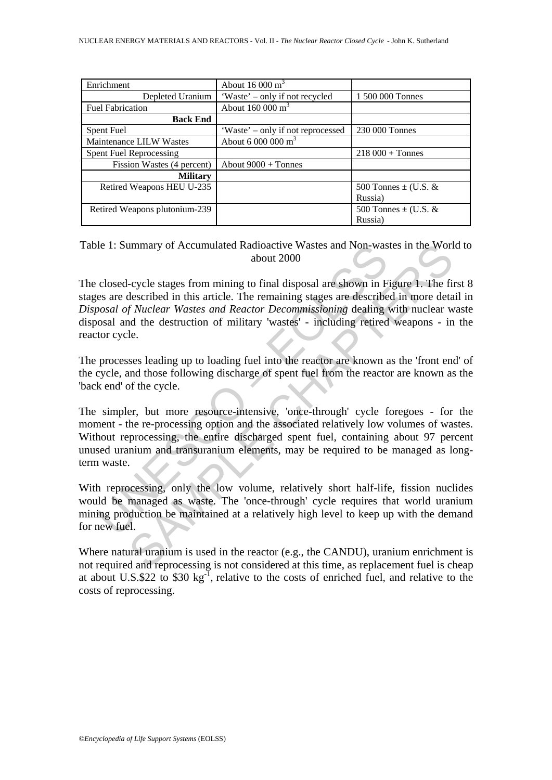| Enrichment                    | About $16000 \text{ m}^3$         |                          |
|-------------------------------|-----------------------------------|--------------------------|
| Depleted Uranium              | 'Waste' – only if not recycled    | 1 500 000 Tonnes         |
| <b>Fuel Fabrication</b>       | About $160000 \text{ m}^3$        |                          |
| <b>Back End</b>               |                                   |                          |
| Spent Fuel                    | 'Waste' – only if not reprocessed | 230 000 Tonnes           |
| Maintenance LILW Wastes       | About $6000000$ m <sup>3</sup>    |                          |
| Spent Fuel Reprocessing       |                                   | $218000 + T$ onnes       |
| Fission Wastes (4 percent)    | About $9000 +$ Tonnes             |                          |
| <b>Military</b>               |                                   |                          |
| Retired Weapons HEU U-235     |                                   | 500 Tonnes $\pm$ (U.S. & |
|                               |                                   | Russia)                  |
| Retired Weapons plutonium-239 |                                   | 500 Tonnes $\pm$ (U.S. & |
|                               |                                   | Russia)                  |

Table 1: Summary of Accumulated Radioactive Wastes and Non-wastes in the World to about 2000

The closed-cycle stages from mining to final disposal are shown in Figure 1. The first 8 stages are described in this article. The remaining stages are described in more detail in *Disposal of Nuclear Wastes and Reactor Decommissioning* dealing with nuclear waste disposal and the destruction of military 'wastes' - including retired weapons - in the reactor cycle.

The processes leading up to loading fuel into the reactor are known as the 'front end' of the cycle, and those following discharge of spent fuel from the reactor are known as the 'back end' of the cycle.

de 1: Summary of Accumulated Radioactive Wastes and Non-was<br>about 2000<br>closed-cycle stages from mining to final disposal are shown in F<br>es are described in this article. The remaining stages are describe<br>osal of Nuclear Wa mmary of Accumulated Radioactive Wastes and Non-wastes in the Worl<br>about 2000<br>about 2000<br>cycle stages from mining to final disposal are shown in Figure 1. The fit<br>fixeder in this article. The remaining stages are described The simpler, but more resource-intensive, 'once-through' cycle foregoes - for the moment - the re-processing option and the associated relatively low volumes of wastes. Without reprocessing, the entire discharged spent fuel, containing about 97 percent unused uranium and transuranium elements, may be required to be managed as longterm waste.

With reprocessing, only the low volume, relatively short half-life, fission nuclides would be managed as waste. The 'once-through' cycle requires that world uranium mining production be maintained at a relatively high level to keep up with the demand for new fuel.

Where natural uranium is used in the reactor (e.g., the CANDU), uranium enrichment is not required and reprocessing is not considered at this time, as replacement fuel is cheap at about U.S.\$22 to \$30 kg<sup>-1</sup>, relative to the costs of enriched fuel, and relative to the costs of reprocessing.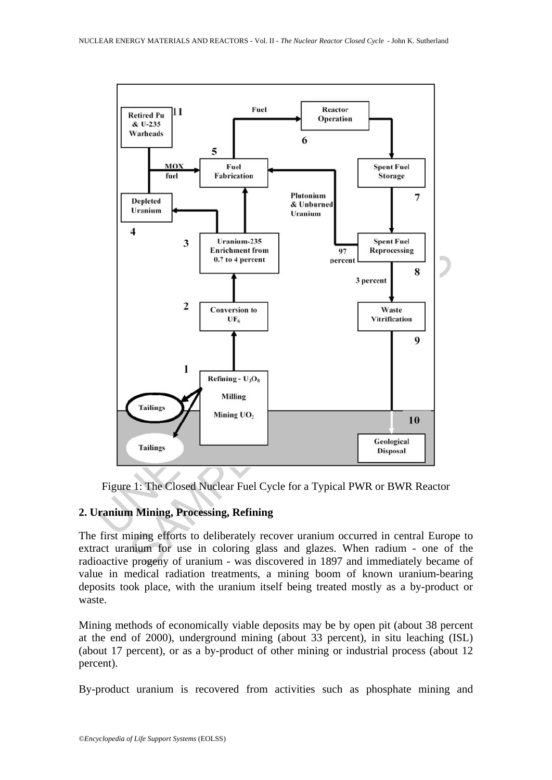



#### **2. Uranium Mining, Processing, Refining**

The first mining efforts to deliberately recover uranium occurred in central Europe to extract uranium for use in coloring glass and glazes. When radium - one of the radioactive progeny of uranium - was discovered in 1897 and immediately became of value in medical radiation treatments, a mining boom of known uranium-bearing deposits took place, with the uranium itself being treated mostly as a by-product or waste.

Mining methods of economically viable deposits may be by open pit (about 38 percent at the end of 2000), underground mining (about 33 percent), in situ leaching (ISL) (about 17 percent), or as a by-product of other mining or industrial process (about 12 percent).

By-product uranium is recovered from activities such as phosphate mining and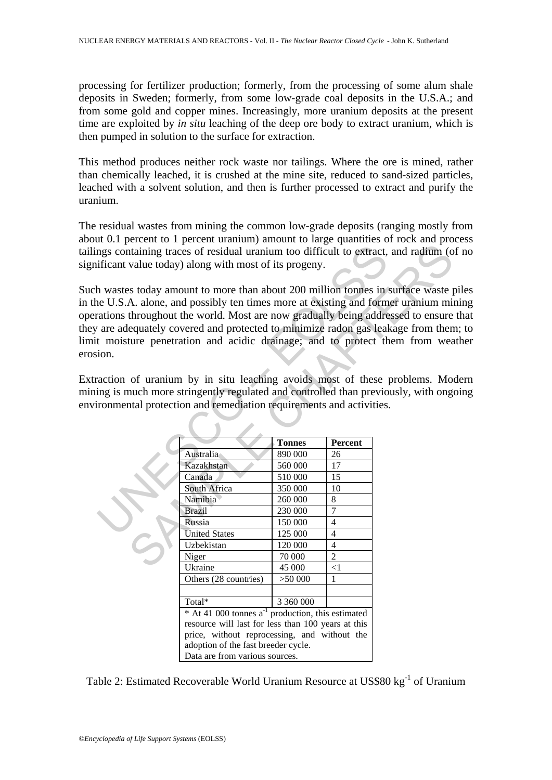processing for fertilizer production; formerly, from the processing of some alum shale deposits in Sweden; formerly, from some low-grade coal deposits in the U.S.A.; and from some gold and copper mines. Increasingly, more uranium deposits at the present time are exploited by *in situ* leaching of the deep ore body to extract uranium, which is then pumped in solution to the surface for extraction.

This method produces neither rock waste nor tailings. Where the ore is mined, rather than chemically leached, it is crushed at the mine site, reduced to sand-sized particles, leached with a solvent solution, and then is further processed to extract and purify the uranium.

The residual wastes from mining the common low-grade deposits (ranging mostly from about 0.1 percent to 1 percent uranium) amount to large quantities of rock and process tailings containing traces of residual uranium too difficult to extract, and radium (of no significant value today) along with most of its progeny.

Such wastes today amount to more than about 200 million tonnes in surface waste piles in the U.S.A. alone, and possibly ten times more at existing and former uranium mining operations throughout the world. Most are now gradually being addressed to ensure that they are adequately covered and protected to minimize radon gas leakage from them; to limit moisture penetration and acidic drainage; and to protect them from weather erosion.

Extraction of uranium by in situ leaching avoids most of these problems. Modern mining is much more stringently regulated and controlled than previously, with ongoing environmental protection and remediation requirements and activities.

|      | ngs containing traces of residual uranium too difficult to extract, and radium (o<br>ificant value today) along with most of its progeny.                                                                                                                                                                                                                                                                                                                                                                                                                                                                                                           |               |                |  |
|------|-----------------------------------------------------------------------------------------------------------------------------------------------------------------------------------------------------------------------------------------------------------------------------------------------------------------------------------------------------------------------------------------------------------------------------------------------------------------------------------------------------------------------------------------------------------------------------------------------------------------------------------------------------|---------------|----------------|--|
| ion. | h wastes today amount to more than about 200 million tonnes in surface waste p<br>ne U.S.A. alone, and possibly ten times more at existing and former uranium min<br>rations throughout the world. Most are now gradually being addressed to ensure<br>are adequately covered and protected to minimize radon gas leakage from then<br>t moisture penetration and acidic drainage; and to protect them from wea<br>action of uranium by in situ leaching avoids most of these problems. Mo<br>ing is much more stringently regulated and controlled than previously, with ongo<br>ronmental protection and remediation requirements and activities. |               |                |  |
|      |                                                                                                                                                                                                                                                                                                                                                                                                                                                                                                                                                                                                                                                     |               |                |  |
|      |                                                                                                                                                                                                                                                                                                                                                                                                                                                                                                                                                                                                                                                     | <b>Tonnes</b> | Percent        |  |
|      | Australia                                                                                                                                                                                                                                                                                                                                                                                                                                                                                                                                                                                                                                           | 890 000       | 26             |  |
|      | Kazakhstan                                                                                                                                                                                                                                                                                                                                                                                                                                                                                                                                                                                                                                          | 560 000       | 17             |  |
|      | Canada                                                                                                                                                                                                                                                                                                                                                                                                                                                                                                                                                                                                                                              | 510 000       | 15             |  |
|      | South Africa                                                                                                                                                                                                                                                                                                                                                                                                                                                                                                                                                                                                                                        | 350 000       | 10             |  |
|      | Namibia                                                                                                                                                                                                                                                                                                                                                                                                                                                                                                                                                                                                                                             | 260 000       | 8              |  |
|      | <b>Brazil</b>                                                                                                                                                                                                                                                                                                                                                                                                                                                                                                                                                                                                                                       | 230 000       | 7              |  |
|      | Russia                                                                                                                                                                                                                                                                                                                                                                                                                                                                                                                                                                                                                                              | 150 000       | 4              |  |
|      | <b>United States</b>                                                                                                                                                                                                                                                                                                                                                                                                                                                                                                                                                                                                                                | 125 000       | 4              |  |
|      | Uzbekistan                                                                                                                                                                                                                                                                                                                                                                                                                                                                                                                                                                                                                                          | 120 000       | 4              |  |
|      | Niger                                                                                                                                                                                                                                                                                                                                                                                                                                                                                                                                                                                                                                               | 70 000        | $\overline{2}$ |  |
|      | Ukraine                                                                                                                                                                                                                                                                                                                                                                                                                                                                                                                                                                                                                                             | 45 000        | $< \! 1$       |  |
|      | Others (28 countries)                                                                                                                                                                                                                                                                                                                                                                                                                                                                                                                                                                                                                               | >50000        | 1              |  |
|      |                                                                                                                                                                                                                                                                                                                                                                                                                                                                                                                                                                                                                                                     |               |                |  |
|      | Total*                                                                                                                                                                                                                                                                                                                                                                                                                                                                                                                                                                                                                                              | 3 360 000     |                |  |
|      | $*$ At 41 000 tonnes $a^{-1}$ production, this estimated                                                                                                                                                                                                                                                                                                                                                                                                                                                                                                                                                                                            |               |                |  |
|      | resource will last for less than 100 years at this                                                                                                                                                                                                                                                                                                                                                                                                                                                                                                                                                                                                  |               |                |  |
|      | price, without reprocessing, and without the                                                                                                                                                                                                                                                                                                                                                                                                                                                                                                                                                                                                        |               |                |  |
|      | adoption of the fast breeder cycle.                                                                                                                                                                                                                                                                                                                                                                                                                                                                                                                                                                                                                 |               |                |  |
|      | Data are from various sources.                                                                                                                                                                                                                                                                                                                                                                                                                                                                                                                                                                                                                      |               |                |  |
|      |                                                                                                                                                                                                                                                                                                                                                                                                                                                                                                                                                                                                                                                     |               |                |  |

Table 2: Estimated Recoverable World Uranium Resource at US\$80 kg<sup>-1</sup> of Uranium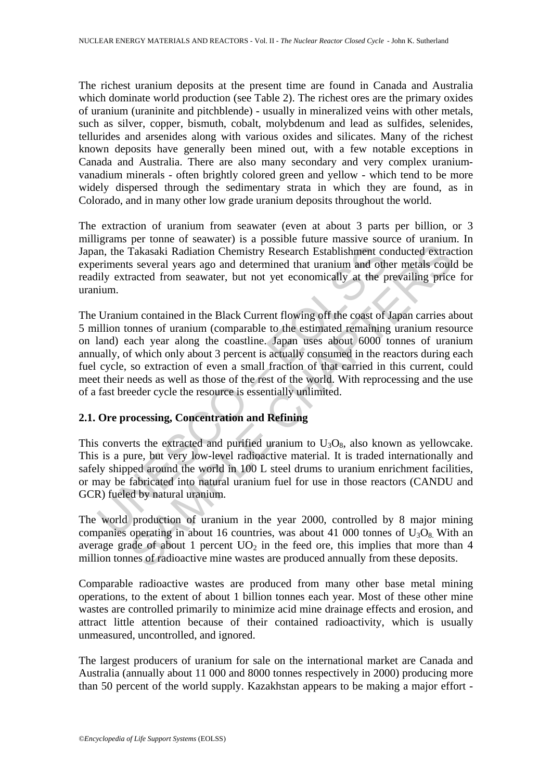The richest uranium deposits at the present time are found in Canada and Australia which dominate world production (see Table 2). The richest ores are the primary oxides of uranium (uraninite and pitchblende) - usually in mineralized veins with other metals, such as silver, copper, bismuth, cobalt, molybdenum and lead as sulfides, selenides, tellurides and arsenides along with various oxides and silicates. Many of the richest known deposits have generally been mined out, with a few notable exceptions in Canada and Australia. There are also many secondary and very complex uraniumvanadium minerals - often brightly colored green and yellow - which tend to be more widely dispersed through the sedimentary strata in which they are found, as in Colorado, and in many other low grade uranium deposits throughout the world.

The extraction of uranium from seawater (even at about 3 parts per billion, or 3 milligrams per tonne of seawater) is a possible future massive source of uranium. In Japan, the Takasaki Radiation Chemistry Research Establishment conducted extraction experiments several years ago and determined that uranium and other metals could be readily extracted from seawater, but not yet economically at the prevailing price for uranium.

on, the Takasaki Radiation Chemistry Research Establishment coefficients several years ago and determined that uranium and oth<br>lily extracted from seawater, but not yet economically at the p<br>ium.<br>Uranium contained in the **Fakasaki Radiation Chemistry Research Establishment conducted extracts several years ago and determined that uranium and other metals could racted from seawater, but not yet economically at the prevailing price um contai** The Uranium contained in the Black Current flowing off the coast of Japan carries about 5 million tonnes of uranium (comparable to the estimated remaining uranium resource on land) each year along the coastline. Japan uses about 6000 tonnes of uranium annually, of which only about 3 percent is actually consumed in the reactors during each fuel cycle, so extraction of even a small fraction of that carried in this current, could meet their needs as well as those of the rest of the world. With reprocessing and the use of a fast breeder cycle the resource is essentially unlimited.

#### **2.1. Ore processing, Concentration and Refining**

This converts the extracted and purified uranium to  $U_3O_8$ , also known as yellowcake. This is a pure, but very low-level radioactive material. It is traded internationally and safely shipped around the world in 100 L steel drums to uranium enrichment facilities, or may be fabricated into natural uranium fuel for use in those reactors (CANDU and GCR) fueled by natural uranium.

The world production of uranium in the year 2000, controlled by 8 major mining companies operating in about 16 countries, was about 41 000 tonnes of  $U_3O_8$ . With an average grade of about 1 percent  $UO<sub>2</sub>$  in the feed ore, this implies that more than 4 million tonnes of radioactive mine wastes are produced annually from these deposits.

Comparable radioactive wastes are produced from many other base metal mining operations, to the extent of about 1 billion tonnes each year. Most of these other mine wastes are controlled primarily to minimize acid mine drainage effects and erosion, and attract little attention because of their contained radioactivity, which is usually unmeasured, uncontrolled, and ignored.

The largest producers of uranium for sale on the international market are Canada and Australia (annually about 11 000 and 8000 tonnes respectively in 2000) producing more than 50 percent of the world supply. Kazakhstan appears to be making a major effort -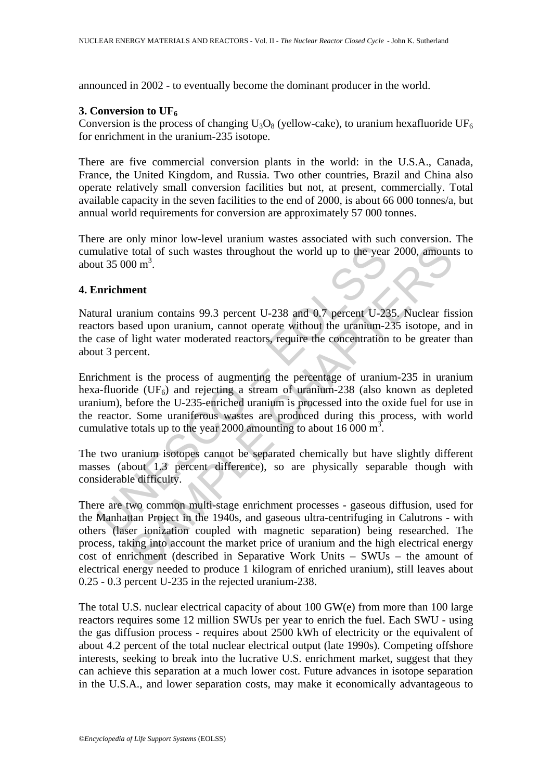announced in 2002 - to eventually become the dominant producer in the world.

## **3. Conversion to UF6**

Conversion is the process of changing  $U_3O_8$  (yellow-cake), to uranium hexafluoride UF<sub>6</sub> for enrichment in the uranium-235 isotope.

There are five commercial conversion plants in the world: in the U.S.A., Canada, France, the United Kingdom, and Russia. Two other countries, Brazil and China also operate relatively small conversion facilities but not, at present, commercially. Total available capacity in the seven facilities to the end of 2000, is about 66 000 tonnes/a, but annual world requirements for conversion are approximately 57 000 tonnes.

There are only minor low-level uranium wastes associated with such conversion. The cumulative total of such wastes throughout the world up to the year 2000, amounts to about  $35000 \text{ m}^3$ .

#### **4. Enrichment**

Natural uranium contains 99.3 percent U-238 and 0.7 percent U-235. Nuclear fission reactors based upon uranium, cannot operate without the uranium-235 isotope, and in the case of light water moderated reactors, require the concentration to be greater than about 3 percent.

ulative total of such wastes throughout the world up to the year<br>
ut 35 000 m<sup>3</sup>.<br> **inrichment**<br>
ural uranium contains 99.3 percent U-238 and 0.7 percent U-22<br>
tors based upon uranium, cannot operate without the uranium-2 Enrichment is the process of augmenting the percentage of uranium-235 in uranium hexa-fluoride  $(UF<sub>6</sub>)$  and rejecting a stream of uranium-238 (also known as depleted uranium), before the U-235-enriched uranium is processed into the oxide fuel for use in the reactor. Some uraniferous wastes are produced during this process, with world cumulative totals up to the year 2000 amounting to about 16 000  $m^3$ .

The two uranium isotopes cannot be separated chemically but have slightly different masses (about 1.3 percent difference), so are physically separable though with considerable difficulty.

1 total of such wastes throughout the world up to the year 2000, amound to total of such wastes throughout the world up to the year 2000, amound  $100 \text{ m}^3$ .<br> **and the same of the same of the same of the same of the same** There are two common multi-stage enrichment processes - gaseous diffusion, used for the Manhattan Project in the 1940s, and gaseous ultra-centrifuging in Calutrons - with others (laser ionization coupled with magnetic separation) being researched. The process, taking into account the market price of uranium and the high electrical energy cost of enrichment (described in Separative Work Units – SWUs – the amount of electrical energy needed to produce 1 kilogram of enriched uranium), still leaves about 0.25 - 0.3 percent U-235 in the rejected uranium-238.

The total U.S. nuclear electrical capacity of about 100 GW(e) from more than 100 large reactors requires some 12 million SWUs per year to enrich the fuel. Each SWU - using the gas diffusion process - requires about 2500 kWh of electricity or the equivalent of about 4.2 percent of the total nuclear electrical output (late 1990s). Competing offshore interests, seeking to break into the lucrative U.S. enrichment market, suggest that they can achieve this separation at a much lower cost. Future advances in isotope separation in the U.S.A., and lower separation costs, may make it economically advantageous to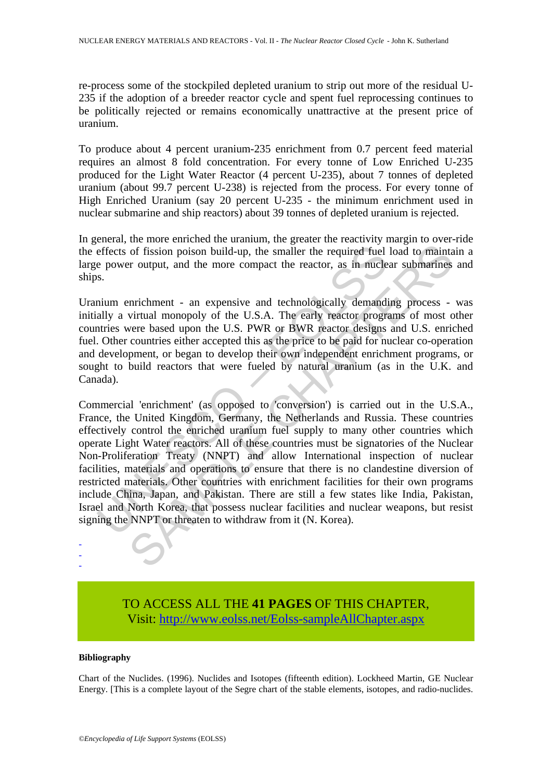re-process some of the stockpiled depleted uranium to strip out more of the residual U-235 if the adoption of a breeder reactor cycle and spent fuel reprocessing continues to be politically rejected or remains economically unattractive at the present price of uranium.

To produce about 4 percent uranium-235 enrichment from 0.7 percent feed material requires an almost 8 fold concentration. For every tonne of Low Enriched U-235 produced for the Light Water Reactor (4 percent U-235), about 7 tonnes of depleted uranium (about 99.7 percent U-238) is rejected from the process. For every tonne of High Enriched Uranium (say 20 percent U-235 - the minimum enrichment used in nuclear submarine and ship reactors) about 39 tonnes of depleted uranium is rejected.

In general, the more enriched the uranium, the greater the reactivity margin to over-ride the effects of fission poison build-up, the smaller the required fuel load to maintain a large power output, and the more compact the reactor, as in nuclear submarines and ships.

Uranium enrichment - an expensive and technologically demanding process - was initially a virtual monopoly of the U.S.A. The early reactor programs of most other countries were based upon the U.S. PWR or BWR reactor designs and U.S. enriched fuel. Other countries either accepted this as the price to be paid for nuclear co-operation and development, or began to develop their own independent enrichment programs, or sought to build reactors that were fueled by natural uranium (as in the U.K. and Canada).

effects of fission poison build-up, the smaller the required fuel<br>e power output, and the more compact the reactor, as in nucle<br>s.<br>S.<br>mium enrichment - an expensive and technologically demandially a virtual monopoly of the of fission poison build-up, the smaller the required fuel load to maintain<br>of fission poison build-up, the smaller the required fuel load to maintain<br>extract the more compact the reactor, as in nuclear submarines<br>are based Commercial 'enrichment' (as opposed to 'conversion') is carried out in the U.S.A., France, the United Kingdom, Germany, the Netherlands and Russia. These countries effectively control the enriched uranium fuel supply to many other countries which operate Light Water reactors. All of these countries must be signatories of the Nuclear Non-Proliferation Treaty (NNPT) and allow International inspection of nuclear facilities, materials and operations to ensure that there is no clandestine diversion of restricted materials. Other countries with enrichment facilities for their own programs include China, Japan, and Pakistan. There are still a few states like India, Pakistan, Israel and North Korea, that possess nuclear facilities and nuclear weapons, but resist signing the NNPT or threaten to withdraw from it (N. Korea).

> TO ACCESS ALL THE **41 PAGES** OF THIS CHAPTER, Visi[t: http://www.eolss.net/Eolss-sampleAllChapter.aspx](https://www.eolss.net/ebooklib/sc_cart.aspx?File=E3-06-03-05)

#### **Bibliography**

- - -

Chart of the Nuclides. (1996). Nuclides and Isotopes (fifteenth edition). Lockheed Martin, GE Nuclear Energy. [This is a complete layout of the Segre chart of the stable elements, isotopes, and radio-nuclides.